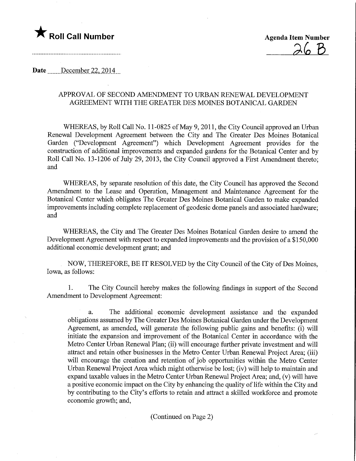



## Date December 22, 2014

## APPROVAL OF SECOND AMENDMENT TO URBAN RENEWAL DEVELOPMENT AGREEMENT WITH THE GREATER DES MOINES BOTANICAL GARDEN

WHEREAS, by Roll Call No. 11-0825 of May 9,2011, the City Council approved an Urban Renewal Development Agreement between the City and The Greater Des Moines Botanical Garden ("Development Agreement") which Development Agreement provides for the construction of additional improvements and expanded gardens for the Botanical Center and by Roll Call No. 13-1206 of July 29, 2013, the City Council approved a First Amendment thereto; and

WHEREAS, by separate resolution of this date, the City Council has approved the Second Amendment to the Lease and Operation, Management and Maintenance Agreement for the Botanical Center which obligates The Greater Des Moines Botanical Garden to make expanded improvements including complete replacement of geodesic dome panels and associated hardware; and

WHEREAS, the City and The Greater Des Moines Botanical Garden desire to amend the Development Agreement with respect to expanded improvements and the provision of a \$150,000 additional economic development grant; and

NOW, THEREFORE, BE IT RESOLVED by the City Council of the City of Des Moines, Iowa, as follows:

1. The City Council hereby makes the following findings in support of the Second Amendment to Development Agreement:

a. The additional economic development assistance and the expanded obligations assumed by The Greater Des Moines Botanical Garden under the Development Agreement, as amended, will generate the following public gains and benefits: (i) will initiate the expansion and improvement of the Botanical Center in accordance with the Metro Center Urban Renewal Plan; (ii) will encourage further private investment and will attract and retain other businesses in the Metro Center Urban Renewal Project Area; (iii) will encourage the creation and retention of job opportunities within the Metro Center Urban Renewal Project Area which might otherwise be lost; (iv) will help to maintain and expand taxable values in the Metro Center Urban Renewal Project Area; and, (v) will have a positive economic impact on the City by enhancing the quality of life within the City and by contributing to the City's efforts to retain and attract a skilled workforce and promote economic growth; and,

(Continued on Page 2)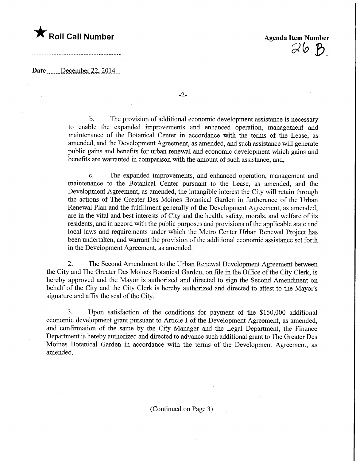

 $\mathcal{D}$ 

Date December 22, 2014

-2-

b. The provision of additional economic development assistance is necessary to enable the expanded improvements and enhanced operation, management and maintenance of the Botanical Center in accordance with the terms of the Lease, as amended, and the Development Agreement, as amended, and such assistance will generate public gains and benefits for urban renewal and economic development which gains and benefits are warranted in comparison with the amount of such assistance; and,

c. The expanded improvements, and enhanced operation, management and maintenance to the Botanical Center pursuant to the Lease, as amended, and the Development Agreement, as amended, the intangible interest the City will retain through the actions of The Greater Des Moines Botanical Garden in furtherance of the Urban Renewal Plan and the fulfillment generally of the Development Agreement, as amended, are in the vital and best interests of City and the health, safety, morals, and welfare of its residents, and in accord with the public purposes and provisions of the applicable state and local laws and requirements under which the Metro Center Urban Renewal Project has been undertaken, and warrant the provision of the additional economic assistance set forth in the Development Agreement, as amended.

2. The Second Amendment to the Urban Renewal Development Agreement between the City and The Greater Des Moines Botanical Garden, on file in the Office of the City Clerk, is hereby approved and the Mayor is authorized and directed to sign the Second Amendment on behalf of the City and the City Clerk is hereby authorized and directed to attest to the Mayor's signature and affix the seal of the City.

3. Upon satisfaction of the conditions for payment of the \$150,000 additional economic development grant pursuant to Article I of the Development Agreement, as amended, and confirmation of the same by the City Manager and the Legal Department, the Finance Department is hereby authorized and directed to advance such additional grant to The Greater Des Moines Botanical Garden in accordance with the terms of the Development Agreement, as amended.

(Continued on Page 3)